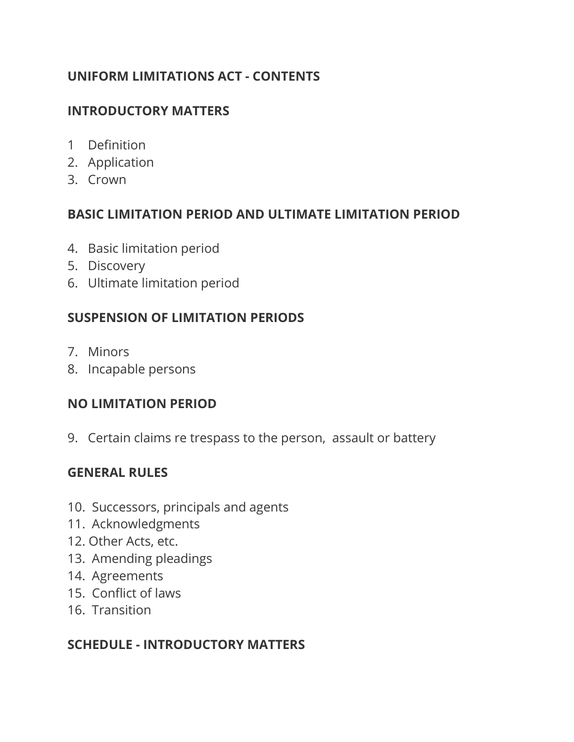#### **UNIFORM LIMITATIONS ACT - CONTENTS**

#### **INTRODUCTORY MATTERS**

- 1 Definition
- 2. Application
- 3. Crown

#### **BASIC LIMITATION PERIOD AND ULTIMATE LIMITATION PERIOD**

- 4. Basic limitation period
- 5. Discovery
- 6. Ultimate limitation period

## **SUSPENSION OF LIMITATION PERIODS**

- 7. Minors
- 8. Incapable persons

#### **NO LIMITATION PERIOD**

9. Certain claims re trespass to the person, assault or battery

## **GENERAL RULES**

- 10. Successors, principals and agents
- 11. Acknowledgments
- 12. Other Acts, etc.
- 13. Amending pleadings
- 14. Agreements
- 15. Conflict of laws
- 16. Transition

## **SCHEDULE - INTRODUCTORY MATTERS**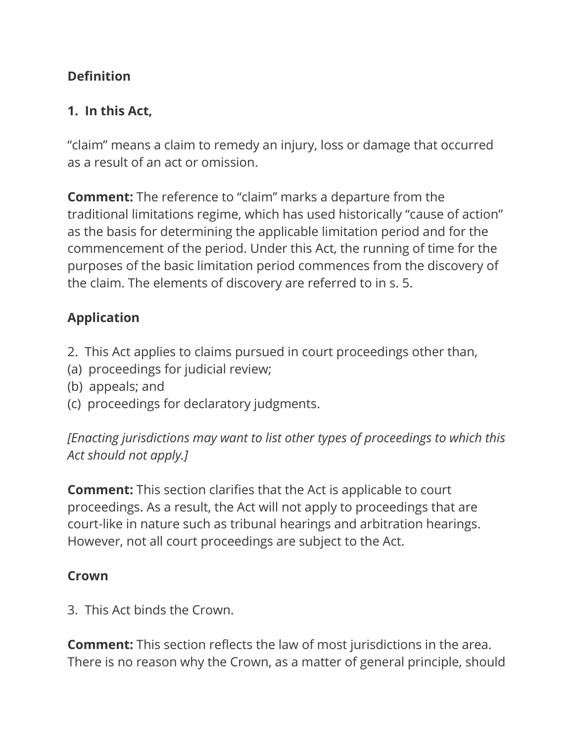## **Definition**

## **1. In this Act,**

"claim" means a claim to remedy an injury, loss or damage that occurred as a result of an act or omission.

**Comment:** The reference to "claim" marks a departure from the traditional limitations regime, which has used historically "cause of action" as the basis for determining the applicable limitation period and for the commencement of the period. Under this Act, the running of time for the purposes of the basic limitation period commences from the discovery of the claim. The elements of discovery are referred to in s. 5.

# **Application**

- 2. This Act applies to claims pursued in court proceedings other than,
- (a) proceedings for judicial review;
- (b) appeals; and
- (c) proceedings for declaratory judgments.

*[Enacting jurisdictions may want to list other types of proceedings to which this Act should not apply.]*

**Comment:** This section clarifies that the Act is applicable to court proceedings. As a result, the Act will not apply to proceedings that are court-like in nature such as tribunal hearings and arbitration hearings. However, not all court proceedings are subject to the Act.

## **Crown**

3. This Act binds the Crown.

**Comment:** This section reflects the law of most jurisdictions in the area. There is no reason why the Crown, as a matter of general principle, should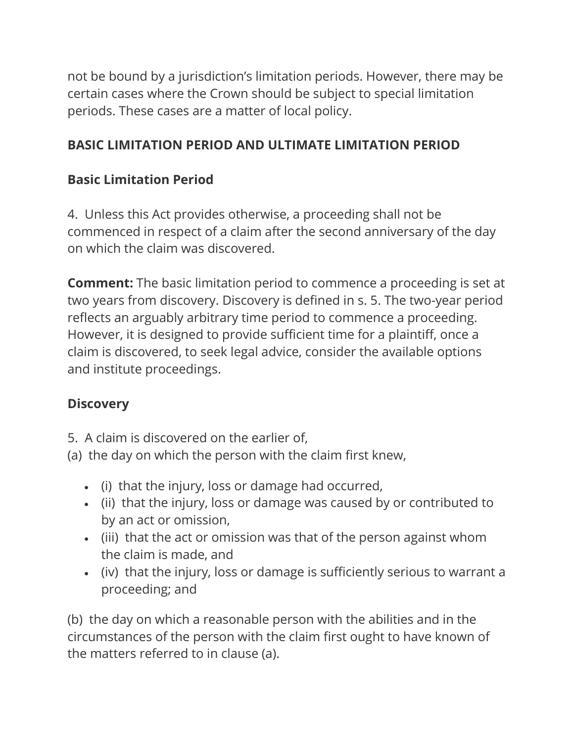not be bound by a jurisdiction's limitation periods. However, there may be certain cases where the Crown should be subject to special limitation periods. These cases are a matter of local policy.

## **BASIC LIMITATION PERIOD AND ULTIMATE LIMITATION PERIOD**

## **Basic Limitation Period**

4. Unless this Act provides otherwise, a proceeding shall not be commenced in respect of a claim after the second anniversary of the day on which the claim was discovered.

**Comment:** The basic limitation period to commence a proceeding is set at two years from discovery. Discovery is defined in s. 5. The two-year period reflects an arguably arbitrary time period to commence a proceeding. However, it is designed to provide sufficient time for a plaintiff, once a claim is discovered, to seek legal advice, consider the available options and institute proceedings.

# **Discovery**

- 5. A claim is discovered on the earlier of,
- (a) the day on which the person with the claim first knew,
	- (i) that the injury, loss or damage had occurred,
	- (ii) that the injury, loss or damage was caused by or contributed to by an act or omission,
	- (iii) that the act or omission was that of the person against whom the claim is made, and
	- (iv) that the injury, loss or damage is sufficiently serious to warrant a proceeding; and

(b) the day on which a reasonable person with the abilities and in the circumstances of the person with the claim first ought to have known of the matters referred to in clause (a).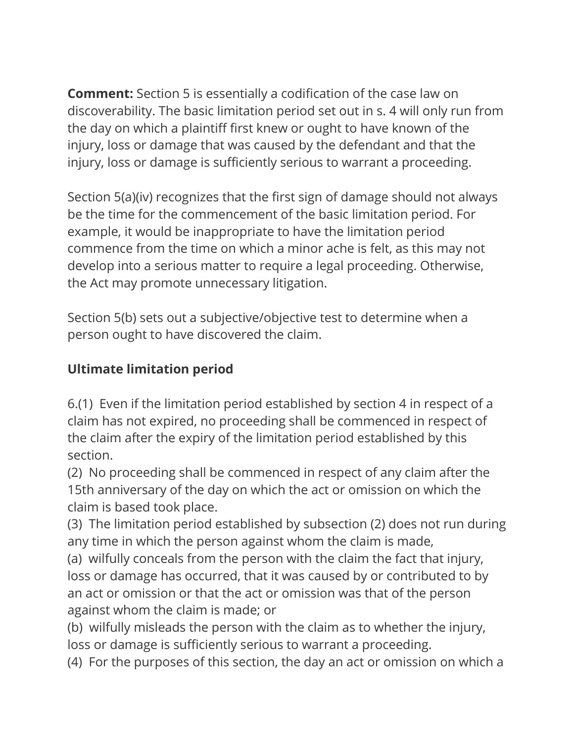**Comment:** Section 5 is essentially a codification of the case law on discoverability. The basic limitation period set out in s. 4 will only run from the day on which a plaintiff first knew or ought to have known of the injury, loss or damage that was caused by the defendant and that the injury, loss or damage is sufficiently serious to warrant a proceeding.

Section 5(a)(iv) recognizes that the first sign of damage should not always be the time for the commencement of the basic limitation period. For example, it would be inappropriate to have the limitation period commence from the time on which a minor ache is felt, as this may not develop into a serious matter to require a legal proceeding. Otherwise, the Act may promote unnecessary litigation.

Section 5(b) sets out a subjective/objective test to determine when a person ought to have discovered the claim.

### **Ultimate limitation period**

6.(1) Even if the limitation period established by section 4 in respect of a claim has not expired, no proceeding shall be commenced in respect of the claim after the expiry of the limitation period established by this section.

(2) No proceeding shall be commenced in respect of any claim after the 15th anniversary of the day on which the act or omission on which the claim is based took place.

(3) The limitation period established by subsection (2) does not run during any time in which the person against whom the claim is made,

(a) wilfully conceals from the person with the claim the fact that injury, loss or damage has occurred, that it was caused by or contributed to by an act or omission or that the act or omission was that of the person against whom the claim is made; or

(b) wilfully misleads the person with the claim as to whether the injury, loss or damage is sufficiently serious to warrant a proceeding.

(4) For the purposes of this section, the day an act or omission on which a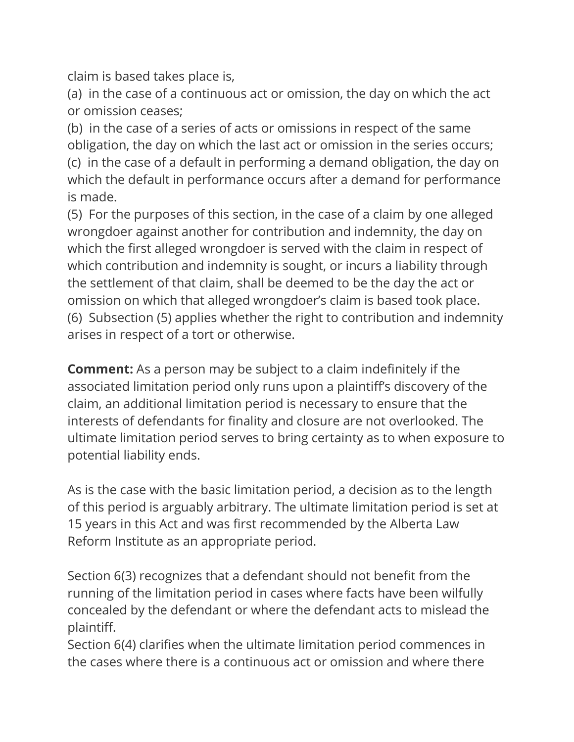claim is based takes place is,

(a) in the case of a continuous act or omission, the day on which the act or omission ceases;

(b) in the case of a series of acts or omissions in respect of the same obligation, the day on which the last act or omission in the series occurs; (c) in the case of a default in performing a demand obligation, the day on which the default in performance occurs after a demand for performance is made.

(5) For the purposes of this section, in the case of a claim by one alleged wrongdoer against another for contribution and indemnity, the day on which the first alleged wrongdoer is served with the claim in respect of which contribution and indemnity is sought, or incurs a liability through the settlement of that claim, shall be deemed to be the day the act or omission on which that alleged wrongdoer's claim is based took place. (6) Subsection (5) applies whether the right to contribution and indemnity arises in respect of a tort or otherwise.

**Comment:** As a person may be subject to a claim indefinitely if the associated limitation period only runs upon a plaintiff's discovery of the claim, an additional limitation period is necessary to ensure that the interests of defendants for finality and closure are not overlooked. The ultimate limitation period serves to bring certainty as to when exposure to potential liability ends.

As is the case with the basic limitation period, a decision as to the length of this period is arguably arbitrary. The ultimate limitation period is set at 15 years in this Act and was first recommended by the Alberta Law Reform Institute as an appropriate period.

Section 6(3) recognizes that a defendant should not benefit from the running of the limitation period in cases where facts have been wilfully concealed by the defendant or where the defendant acts to mislead the plaintiff.

Section 6(4) clarifies when the ultimate limitation period commences in the cases where there is a continuous act or omission and where there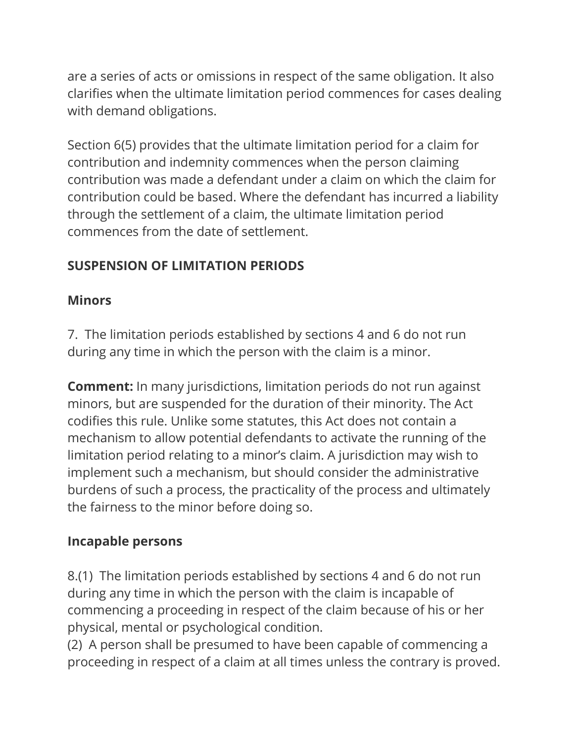are a series of acts or omissions in respect of the same obligation. It also clarifies when the ultimate limitation period commences for cases dealing with demand obligations.

Section 6(5) provides that the ultimate limitation period for a claim for contribution and indemnity commences when the person claiming contribution was made a defendant under a claim on which the claim for contribution could be based. Where the defendant has incurred a liability through the settlement of a claim, the ultimate limitation period commences from the date of settlement.

## **SUSPENSION OF LIMITATION PERIODS**

### **Minors**

7. The limitation periods established by sections 4 and 6 do not run during any time in which the person with the claim is a minor.

**Comment:** In many jurisdictions, limitation periods do not run against minors, but are suspended for the duration of their minority. The Act codifies this rule. Unlike some statutes, this Act does not contain a mechanism to allow potential defendants to activate the running of the limitation period relating to a minor's claim. A jurisdiction may wish to implement such a mechanism, but should consider the administrative burdens of such a process, the practicality of the process and ultimately the fairness to the minor before doing so.

## **Incapable persons**

8.(1) The limitation periods established by sections 4 and 6 do not run during any time in which the person with the claim is incapable of commencing a proceeding in respect of the claim because of his or her physical, mental or psychological condition.

(2) A person shall be presumed to have been capable of commencing a proceeding in respect of a claim at all times unless the contrary is proved.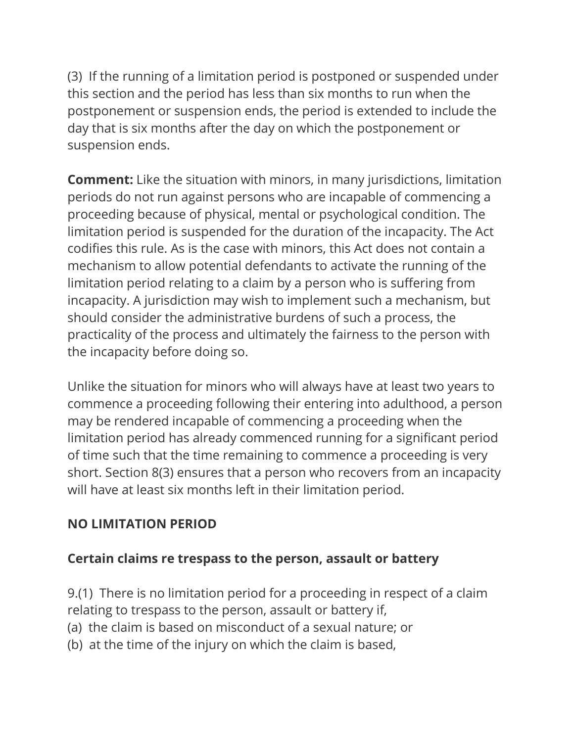(3) If the running of a limitation period is postponed or suspended under this section and the period has less than six months to run when the postponement or suspension ends, the period is extended to include the day that is six months after the day on which the postponement or suspension ends.

**Comment:** Like the situation with minors, in many jurisdictions, limitation periods do not run against persons who are incapable of commencing a proceeding because of physical, mental or psychological condition. The limitation period is suspended for the duration of the incapacity. The Act codifies this rule. As is the case with minors, this Act does not contain a mechanism to allow potential defendants to activate the running of the limitation period relating to a claim by a person who is suffering from incapacity. A jurisdiction may wish to implement such a mechanism, but should consider the administrative burdens of such a process, the practicality of the process and ultimately the fairness to the person with the incapacity before doing so.

Unlike the situation for minors who will always have at least two years to commence a proceeding following their entering into adulthood, a person may be rendered incapable of commencing a proceeding when the limitation period has already commenced running for a significant period of time such that the time remaining to commence a proceeding is very short. Section 8(3) ensures that a person who recovers from an incapacity will have at least six months left in their limitation period.

## **NO LIMITATION PERIOD**

#### **Certain claims re trespass to the person, assault or battery**

9.(1) There is no limitation period for a proceeding in respect of a claim relating to trespass to the person, assault or battery if,

- (a) the claim is based on misconduct of a sexual nature; or
- (b) at the time of the injury on which the claim is based,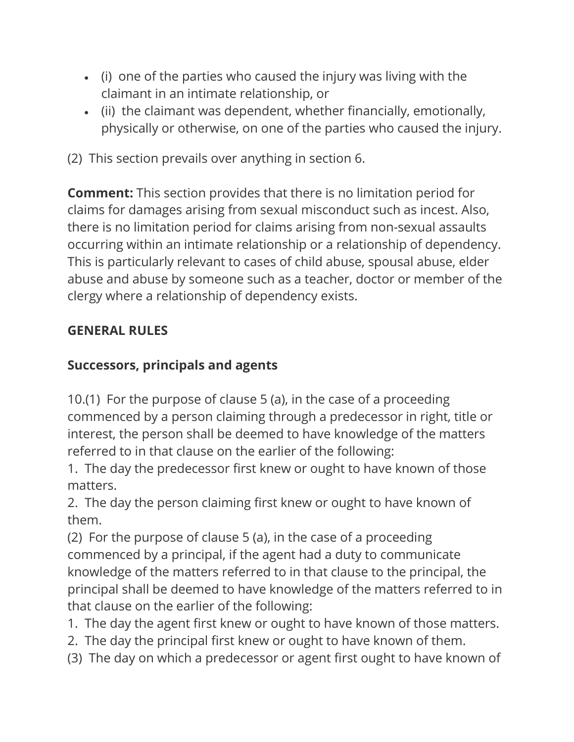- (i) one of the parties who caused the injury was living with the claimant in an intimate relationship, or
- (ii) the claimant was dependent, whether financially, emotionally, physically or otherwise, on one of the parties who caused the injury.
- (2) This section prevails over anything in section 6.

**Comment:** This section provides that there is no limitation period for claims for damages arising from sexual misconduct such as incest. Also, there is no limitation period for claims arising from non-sexual assaults occurring within an intimate relationship or a relationship of dependency. This is particularly relevant to cases of child abuse, spousal abuse, elder abuse and abuse by someone such as a teacher, doctor or member of the clergy where a relationship of dependency exists.

## **GENERAL RULES**

## **Successors, principals and agents**

10.(1) For the purpose of clause 5 (a), in the case of a proceeding commenced by a person claiming through a predecessor in right, title or interest, the person shall be deemed to have knowledge of the matters referred to in that clause on the earlier of the following:

1. The day the predecessor first knew or ought to have known of those matters.

2. The day the person claiming first knew or ought to have known of them.

(2) For the purpose of clause 5 (a), in the case of a proceeding commenced by a principal, if the agent had a duty to communicate knowledge of the matters referred to in that clause to the principal, the principal shall be deemed to have knowledge of the matters referred to in that clause on the earlier of the following:

- 1. The day the agent first knew or ought to have known of those matters.
- 2. The day the principal first knew or ought to have known of them.
- (3) The day on which a predecessor or agent first ought to have known of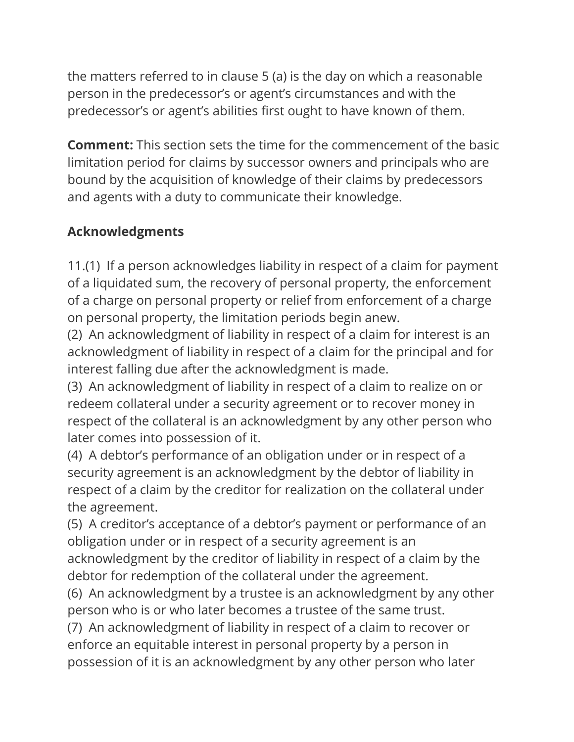the matters referred to in clause 5 (a) is the day on which a reasonable person in the predecessor's or agent's circumstances and with the predecessor's or agent's abilities first ought to have known of them.

**Comment:** This section sets the time for the commencement of the basic limitation period for claims by successor owners and principals who are bound by the acquisition of knowledge of their claims by predecessors and agents with a duty to communicate their knowledge.

## **Acknowledgments**

11.(1) If a person acknowledges liability in respect of a claim for payment of a liquidated sum, the recovery of personal property, the enforcement of a charge on personal property or relief from enforcement of a charge on personal property, the limitation periods begin anew.

(2) An acknowledgment of liability in respect of a claim for interest is an acknowledgment of liability in respect of a claim for the principal and for interest falling due after the acknowledgment is made.

(3) An acknowledgment of liability in respect of a claim to realize on or redeem collateral under a security agreement or to recover money in respect of the collateral is an acknowledgment by any other person who later comes into possession of it.

(4) A debtor's performance of an obligation under or in respect of a security agreement is an acknowledgment by the debtor of liability in respect of a claim by the creditor for realization on the collateral under the agreement.

(5) A creditor's acceptance of a debtor's payment or performance of an obligation under or in respect of a security agreement is an acknowledgment by the creditor of liability in respect of a claim by the debtor for redemption of the collateral under the agreement.

(6) An acknowledgment by a trustee is an acknowledgment by any other person who is or who later becomes a trustee of the same trust.

(7) An acknowledgment of liability in respect of a claim to recover or enforce an equitable interest in personal property by a person in possession of it is an acknowledgment by any other person who later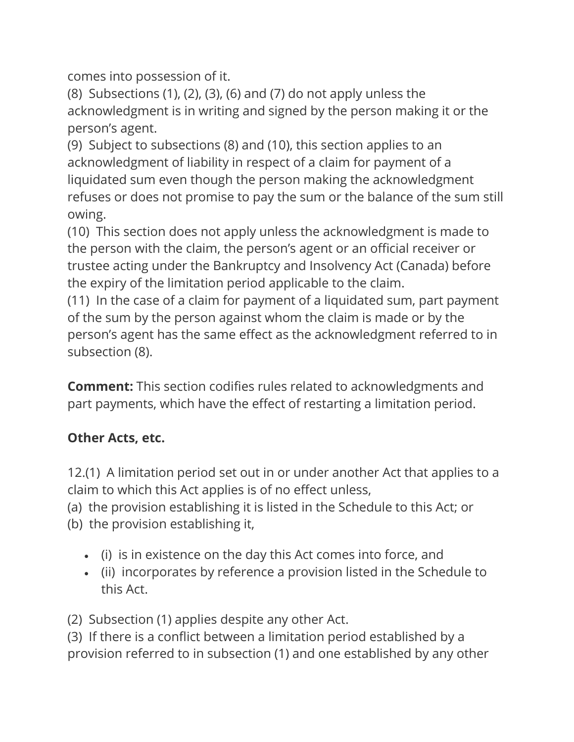comes into possession of it.

(8) Subsections (1), (2), (3), (6) and (7) do not apply unless the acknowledgment is in writing and signed by the person making it or the person's agent.

(9) Subject to subsections (8) and (10), this section applies to an acknowledgment of liability in respect of a claim for payment of a liquidated sum even though the person making the acknowledgment refuses or does not promise to pay the sum or the balance of the sum still owing.

(10) This section does not apply unless the acknowledgment is made to the person with the claim, the person's agent or an official receiver or trustee acting under the Bankruptcy and Insolvency Act (Canada) before the expiry of the limitation period applicable to the claim.

(11) In the case of a claim for payment of a liquidated sum, part payment of the sum by the person against whom the claim is made or by the person's agent has the same effect as the acknowledgment referred to in subsection (8).

**Comment:** This section codifies rules related to acknowledgments and part payments, which have the effect of restarting a limitation period.

# **Other Acts, etc.**

12.(1) A limitation period set out in or under another Act that applies to a claim to which this Act applies is of no effect unless,

(a) the provision establishing it is listed in the Schedule to this Act; or

(b) the provision establishing it,

- (i) is in existence on the day this Act comes into force, and
- (ii) incorporates by reference a provision listed in the Schedule to this Act.

(2) Subsection (1) applies despite any other Act.

(3) If there is a conflict between a limitation period established by a provision referred to in subsection (1) and one established by any other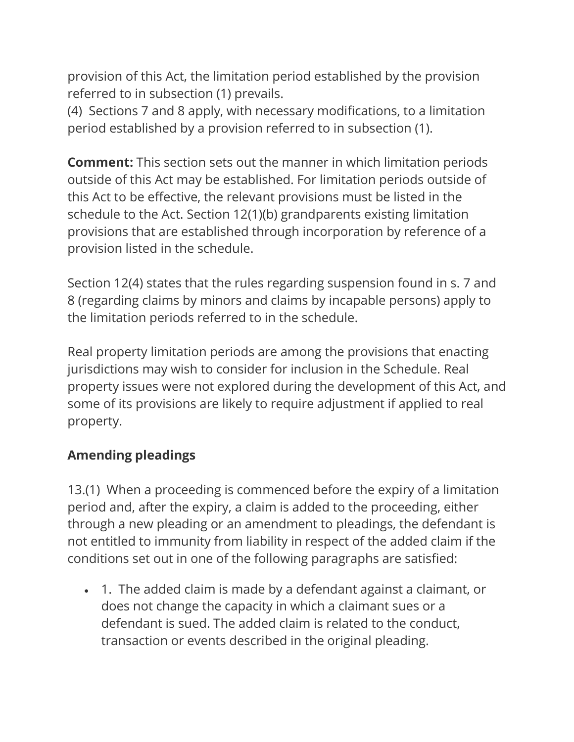provision of this Act, the limitation period established by the provision referred to in subsection (1) prevails.

(4) Sections 7 and 8 apply, with necessary modifications, to a limitation period established by a provision referred to in subsection (1).

**Comment:** This section sets out the manner in which limitation periods outside of this Act may be established. For limitation periods outside of this Act to be effective, the relevant provisions must be listed in the schedule to the Act. Section 12(1)(b) grandparents existing limitation provisions that are established through incorporation by reference of a provision listed in the schedule.

Section 12(4) states that the rules regarding suspension found in s. 7 and 8 (regarding claims by minors and claims by incapable persons) apply to the limitation periods referred to in the schedule.

Real property limitation periods are among the provisions that enacting jurisdictions may wish to consider for inclusion in the Schedule. Real property issues were not explored during the development of this Act, and some of its provisions are likely to require adjustment if applied to real property.

#### **Amending pleadings**

13.(1) When a proceeding is commenced before the expiry of a limitation period and, after the expiry, a claim is added to the proceeding, either through a new pleading or an amendment to pleadings, the defendant is not entitled to immunity from liability in respect of the added claim if the conditions set out in one of the following paragraphs are satisfied:

• 1. The added claim is made by a defendant against a claimant, or does not change the capacity in which a claimant sues or a defendant is sued. The added claim is related to the conduct, transaction or events described in the original pleading.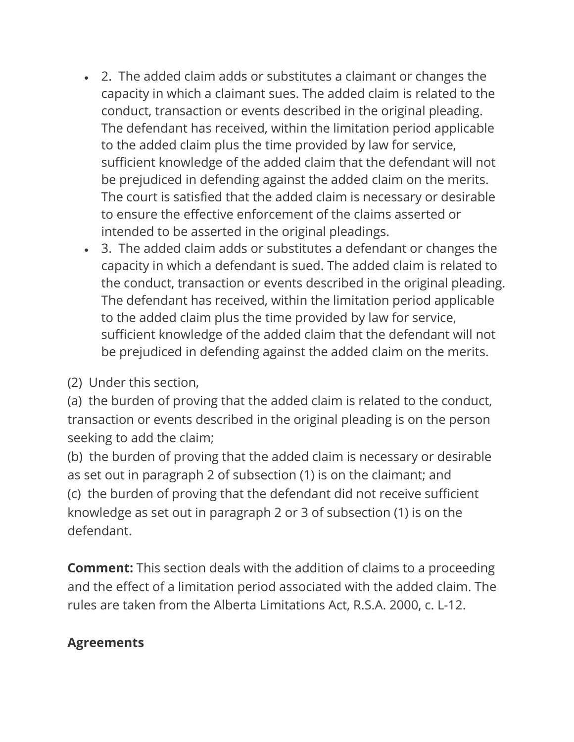- 2. The added claim adds or substitutes a claimant or changes the capacity in which a claimant sues. The added claim is related to the conduct, transaction or events described in the original pleading. The defendant has received, within the limitation period applicable to the added claim plus the time provided by law for service, sufficient knowledge of the added claim that the defendant will not be prejudiced in defending against the added claim on the merits. The court is satisfied that the added claim is necessary or desirable to ensure the effective enforcement of the claims asserted or intended to be asserted in the original pleadings.
- 3. The added claim adds or substitutes a defendant or changes the capacity in which a defendant is sued. The added claim is related to the conduct, transaction or events described in the original pleading. The defendant has received, within the limitation period applicable to the added claim plus the time provided by law for service, sufficient knowledge of the added claim that the defendant will not be prejudiced in defending against the added claim on the merits.

(2) Under this section,

(a) the burden of proving that the added claim is related to the conduct, transaction or events described in the original pleading is on the person seeking to add the claim;

(b) the burden of proving that the added claim is necessary or desirable as set out in paragraph 2 of subsection (1) is on the claimant; and (c) the burden of proving that the defendant did not receive sufficient knowledge as set out in paragraph 2 or 3 of subsection (1) is on the defendant.

**Comment:** This section deals with the addition of claims to a proceeding and the effect of a limitation period associated with the added claim. The rules are taken from the Alberta Limitations Act, R.S.A. 2000, c. L-12.

## **Agreements**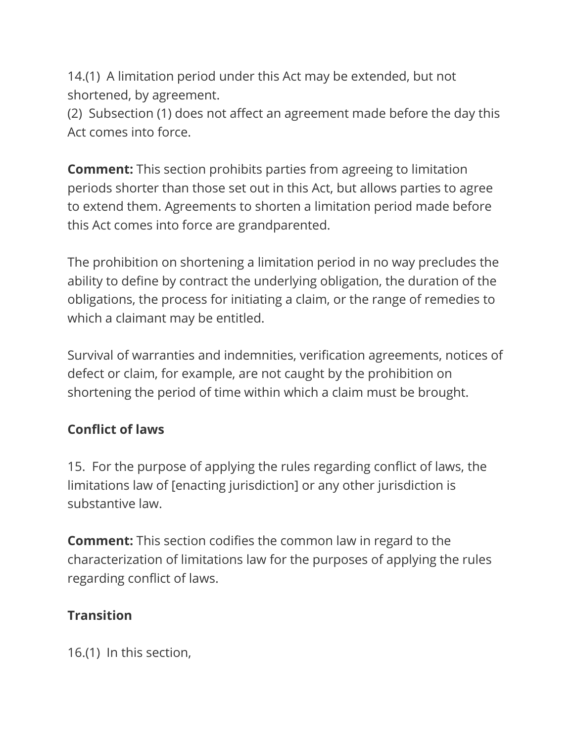14.(1) A limitation period under this Act may be extended, but not shortened, by agreement.

(2) Subsection (1) does not affect an agreement made before the day this Act comes into force.

**Comment:** This section prohibits parties from agreeing to limitation periods shorter than those set out in this Act, but allows parties to agree to extend them. Agreements to shorten a limitation period made before this Act comes into force are grandparented.

The prohibition on shortening a limitation period in no way precludes the ability to define by contract the underlying obligation, the duration of the obligations, the process for initiating a claim, or the range of remedies to which a claimant may be entitled.

Survival of warranties and indemnities, verification agreements, notices of defect or claim, for example, are not caught by the prohibition on shortening the period of time within which a claim must be brought.

## **Conflict of laws**

15. For the purpose of applying the rules regarding conflict of laws, the limitations law of [enacting jurisdiction] or any other jurisdiction is substantive law.

**Comment:** This section codifies the common law in regard to the characterization of limitations law for the purposes of applying the rules regarding conflict of laws.

## **Transition**

16.(1) In this section,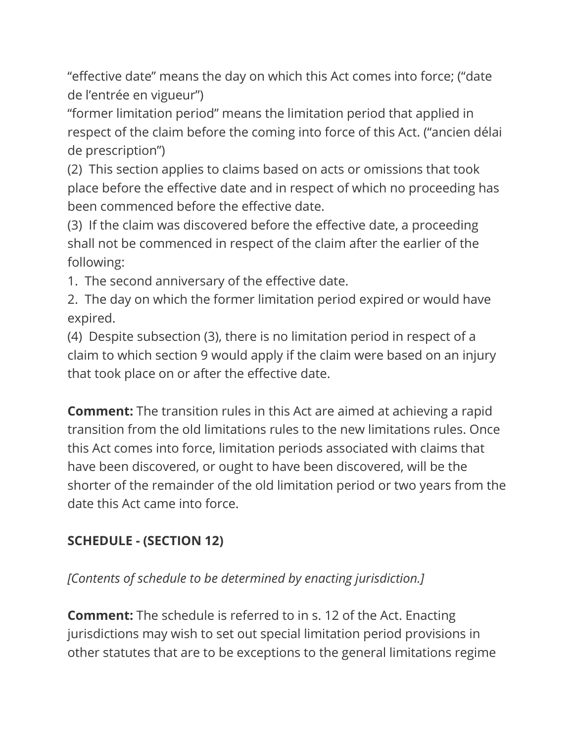"effective date" means the day on which this Act comes into force; ("date de l'entrée en vigueur")

"former limitation period" means the limitation period that applied in respect of the claim before the coming into force of this Act. ("ancien délai de prescription")

(2) This section applies to claims based on acts or omissions that took place before the effective date and in respect of which no proceeding has been commenced before the effective date.

(3) If the claim was discovered before the effective date, a proceeding shall not be commenced in respect of the claim after the earlier of the following:

1. The second anniversary of the effective date.

2. The day on which the former limitation period expired or would have expired.

(4) Despite subsection (3), there is no limitation period in respect of a claim to which section 9 would apply if the claim were based on an injury that took place on or after the effective date.

**Comment:** The transition rules in this Act are aimed at achieving a rapid transition from the old limitations rules to the new limitations rules. Once this Act comes into force, limitation periods associated with claims that have been discovered, or ought to have been discovered, will be the shorter of the remainder of the old limitation period or two years from the date this Act came into force.

# **SCHEDULE - (SECTION 12)**

*[Contents of schedule to be determined by enacting jurisdiction.]*

**Comment:** The schedule is referred to in s. 12 of the Act. Enacting jurisdictions may wish to set out special limitation period provisions in other statutes that are to be exceptions to the general limitations regime